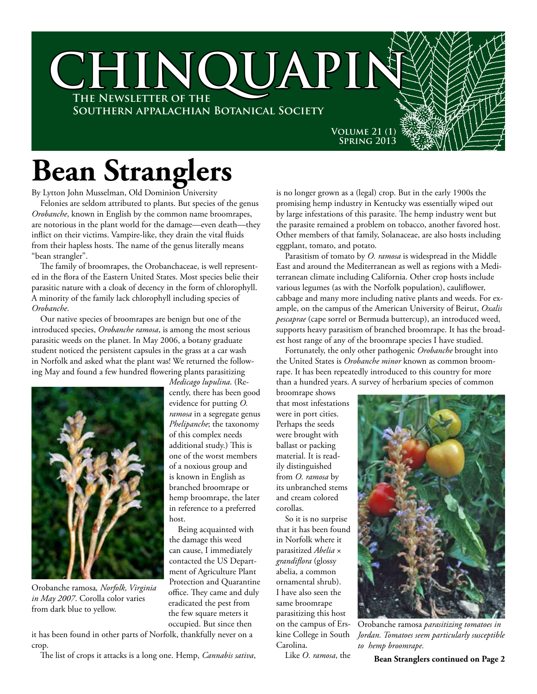

## **Bean Stranglers**

By Lytton John Musselman, Old Dominion University

Felonies are seldom attributed to plants. But species of the genus *Orobanche*, known in English by the common name broomrapes, are notorious in the plant world for the damage—even death—they inflict on their victims. Vampire-like, they drain the vital fluids from their hapless hosts. The name of the genus literally means "bean strangler".

The family of broomrapes, the Orobanchaceae, is well represented in the flora of the Eastern United States. Most species belie their parasitic nature with a cloak of decency in the form of chlorophyll. A minority of the family lack chlorophyll including species of *Orobanche*.

Our native species of broomrapes are benign but one of the introduced species, *Orobanche ramosa*, is among the most serious parasitic weeds on the planet. In May 2006, a botany graduate student noticed the persistent capsules in the grass at a car wash in Norfolk and asked what the plant was! We returned the following May and found a few hundred flowering plants parasitizing

> *Medicago lupulina*. (Recently, there has been good evidence for putting *O. ramosa* in a segregate genus *Phelipanche*; the taxonomy of this complex needs additional study.) This is one of the worst members of a noxious group and is known in English as branched broomrape or hemp broomrape, the later in reference to a preferred

> Being acquainted with the damage this weed can cause, I immediately contacted the US Department of Agriculture Plant Protection and Quarantine office. They came and duly eradicated the pest from the few square meters it



Orobanche ramosa*, Norfolk, Virginia in May 2007*. Corolla color varies from dark blue to yellow.

occupied. But since then it has been found in other parts of Norfolk, thankfully never on a crop.

host.

The list of crops it attacks is a long one. Hemp, *Cannabis sativa*,

is no longer grown as a (legal) crop. But in the early 1900s the promising hemp industry in Kentucky was essentially wiped out by large infestations of this parasite. The hemp industry went but the parasite remained a problem on tobacco, another favored host. Other members of that family, Solanaceae, are also hosts including eggplant, tomato, and potato.

Parasitism of tomato by *O. ramosa* is widespread in the Middle East and around the Mediterranean as well as regions with a Mediterranean climate including California. Other crop hosts include various legumes (as with the Norfolk population), cauliflower, cabbage and many more including native plants and weeds. For example, on the campus of the American University of Beirut, *Oxalis pescaprae* (cape sorrel or Bermuda buttercup), an introduced weed, supports heavy parasitism of branched broomrape. It has the broadest host range of any of the broomrape species I have studied.

Fortunately, the only other pathogenic *Orobanche* brought into the United States is *Orobanche minor* known as common broomrape. It has been repeatedly introduced to this country for more than a hundred years. A survey of herbarium species of common

broomrape shows that most infestations were in port cities. Perhaps the seeds were brought with ballast or packing material. It is readily distinguished from *O. ramosa* by its unbranched stems and cream colored corollas.

So it is no surprise that it has been found in Norfolk where it parasitized *Abelia* × *grandiflora* (glossy abelia, a common ornamental shrub). I have also seen the same broomrape parasitizing this host on the campus of Erskine College in South Carolina.

Like *O. ramosa*, the



Orobanche ramosa *parasitizing tomatoes in Jordan. Tomatoes seem particularly susceptible to hemp broomrape.*

**Bean Stranglers continued on Page 2**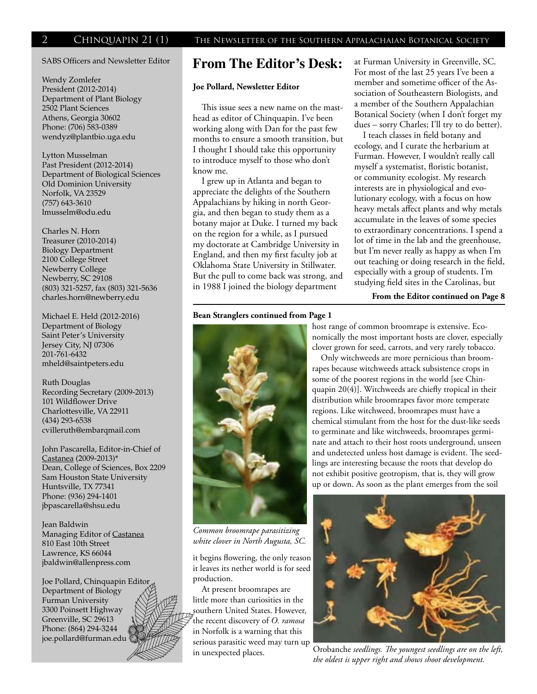### SABS Officers and Newsletter Editor

Wendy Zomlefer President (2012-2014) Department of Plant Biology 2502 Plant Sciences Athens, Georgia 30602 Phone: (706) 583-0389 wendyz@plantbio.uga.edu

Lytton Musselman Past President (2012-2014) Department of Biological Sciences Old Dominion University Norfolk, VA 23529 (757) 643-3610 lmusselm@odu.edu

Charles N. Horn Treasurer (2010-2014) Biology Department 2100 College Street Newberry College Newberry, SC 29108 (803) 321-5257, fax (803) 321-5636 charles.horn@newberry.edu

Michael E. Held (2012-2016) Department of Biology Saint Peter's University Jersey City, NJ 07306 201-761-6432 mheld@saintpeters.edu

Ruth Douglas Recording Secretary (2009-2013) 101 Wildflower Drive Charlottesville, VA 22911 (434) 293-6538 cvilleruth@embarqmail.com

John Pascarella, Editor-in-Chief of Castanea (2009-2013)\* Dean, College of Sciences, Box 2209 Sam Houston State University Huntsville, TX 77341 Phone: (936) 294-1401 jbpascarella@shsu.edu

Jean Baldwin Managing Editor of Castanea 810 East 10th Street Lawrence, KS 66044 jbaldwin@allenpress.com

Joe Pollard, Chinquapin Editor Department of Biology Furman University 3300 Poinsett Highway Greenville, SC 29613 Phone: (864) 294-3244 joe.pollard@furman.edu



### **From The Editor's Desk:**

### **Joe Pollard, Newsletter Editor**

This issue sees a new name on the masthead as editor of Chinquapin. I've been working along with Dan for the past few months to ensure a smooth transition, but I thought I should take this opportunity to introduce myself to those who don't know me.

I grew up in Atlanta and began to appreciate the delights of the Southern Appalachians by hiking in north Georgia, and then began to study them as a botany major at Duke. I turned my back on the region for a while, as I pursued my doctorate at Cambridge University in England, and then my first faculty job at Oklahoma State University in Stillwater. But the pull to come back was strong, and in 1988 I joined the biology department

### **Bean Stranglers continued from Page 1**



*Common broomrape parasitizing white clover in North Augusta, SC.*

it begins flowering, the only reason it leaves its nether world is for seed production.

At present broomrapes are little more than curiosities in the southern United States. However, the recent discovery of *O. ramosa* in Norfolk is a warning that this serious parasitic weed may turn up in unexpected places.

at Furman University in Greenville, SC. For most of the last 25 years I've been a member and sometime officer of the Association of Southeastern Biologists, and a member of the Southern Appalachian Botanical Society (when I don't forget my dues – sorry Charles; I'll try to do better).

I teach classes in field botany and ecology, and I curate the herbarium at Furman. However, I wouldn't really call myself a systematist, floristic botanist, or community ecologist. My research interests are in physiological and evolutionary ecology, with a focus on how heavy metals affect plants and why metals accumulate in the leaves of some species to extraordinary concentrations. I spend a lot of time in the lab and the greenhouse, but I'm never really as happy as when I'm out teaching or doing research in the field, especially with a group of students. I'm studying field sites in the Carolinas, but

**From the Editor continued on Page 8**

host range of common broomrape is extensive. Economically the most important hosts are clover, especially clover grown for seed, carrots, and very rarely tobacco.

Only witchweeds are more pernicious than broomrapes because witchweeds attack subsistence crops in some of the poorest regions in the world [see Chinquapin 20(4)]. Witchweeds are chiefly tropical in their distribution while broomrapes favor more temperate regions. Like witchweed, broomrapes must have a chemical stimulant from the host for the dust-like seeds to germinate and like witchweeds, broomrapes germinate and attach to their host roots underground, unseen and undetected unless host damage is evident. The seedlings are interesting because the roots that develop do not exhibit positive geotropism, that is, they will grow up or down. As soon as the plant emerges from the soil



Orobanche *seedlings. The youngest seedlings are on the left, the oldest is upper right and shows shoot development.*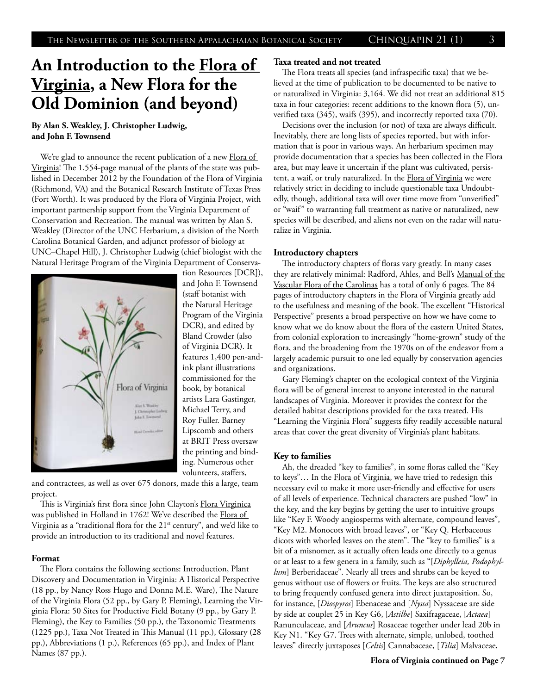### **An Introduction to the Flora of Virginia, a New Flora for the Old Dominion (and beyond)**

**By Alan S. Weakley, J. Christopher Ludwig, and John F. Townsend**

We're glad to announce the recent publication of a new Flora of Virginia! The 1,554-page manual of the plants of the state was published in December 2012 by the Foundation of the Flora of Virginia (Richmond, VA) and the Botanical Research Institute of Texas Press (Fort Worth). It was produced by the Flora of Virginia Project, with important partnership support from the Virginia Department of Conservation and Recreation. The manual was written by Alan S. Weakley (Director of the UNC Herbarium, a division of the North Carolina Botanical Garden, and adjunct professor of biology at UNC–Chapel Hill), J. Christopher Ludwig (chief biologist with the Natural Heritage Program of the Virginia Department of Conserva-



tion Resources [DCR]), and John F. Townsend (staff botanist with the Natural Heritage Program of the Virginia DCR), and edited by Bland Crowder (also of Virginia DCR). It features 1,400 pen-andink plant illustrations commissioned for the book, by botanical artists Lara Gastinger, Michael Terry, and Roy Fuller. Barney Lipscomb and others at BRIT Press oversaw the printing and binding. Numerous other volunteers, staffers,

and contractees, as well as over 675 donors, made this a large, team project.

This is Virginia's first flora since John Clayton's Flora Virginica was published in Holland in 1762! We've described the Flora of Virginia as a "traditional flora for the 21<sup>st</sup> century", and we'd like to provide an introduction to its traditional and novel features.

### **Format**

The Flora contains the following sections: Introduction, Plant Discovery and Documentation in Virginia: A Historical Perspective (18 pp., by Nancy Ross Hugo and Donna M.E. Ware), The Nature of the Virginia Flora (52 pp., by Gary P. Fleming), Learning the Virginia Flora: 50 Sites for Productive Field Botany (9 pp., by Gary P. Fleming), the Key to Families (50 pp.), the Taxonomic Treatments (1225 pp.), Taxa Not Treated in This Manual (11 pp.), Glossary (28 pp.), Abbreviations (1 p.), References (65 pp.), and Index of Plant Names (87 pp.).

### **Taxa treated and not treated**

The Flora treats all species (and infraspecific taxa) that we believed at the time of publication to be documented to be native to or naturalized in Virginia: 3,164. We did not treat an additional 815 taxa in four categories: recent additions to the known flora (5), unverified taxa (345), waifs (395), and incorrectly reported taxa (70).

Decisions over the inclusion (or not) of taxa are always difficult. Inevitably, there are long lists of species reported, but with information that is poor in various ways. An herbarium specimen may provide documentation that a species has been collected in the Flora area, but may leave it uncertain if the plant was cultivated, persistent, a waif, or truly naturalized. In the Flora of Virginia we were relatively strict in deciding to include questionable taxa Undoubtedly, though, additional taxa will over time move from "unverified" or "waif" to warranting full treatment as native or naturalized, new species will be described, and aliens not even on the radar will naturalize in Virginia.

### **Introductory chapters**

The introductory chapters of floras vary greatly. In many cases they are relatively minimal: Radford, Ahles, and Bell's Manual of the Vascular Flora of the Carolinas has a total of only 6 pages. The 84 pages of introductory chapters in the Flora of Virginia greatly add to the usefulness and meaning of the book. The excellent "Historical Perspective" presents a broad perspective on how we have come to know what we do know about the flora of the eastern United States, from colonial exploration to increasingly "home-grown" study of the flora, and the broadening from the 1970s on of the endeavor from a largely academic pursuit to one led equally by conservation agencies and organizations.

Gary Fleming's chapter on the ecological context of the Virginia flora will be of general interest to anyone interested in the natural landscapes of Virginia. Moreover it provides the context for the detailed habitat descriptions provided for the taxa treated. His "Learning the Virginia Flora" suggests fifty readily accessible natural areas that cover the great diversity of Virginia's plant habitats.

### **Key to families**

Ah, the dreaded "key to families", in some floras called the "Key to keys"... In the Flora of Virginia, we have tried to redesign this necessary evil to make it more user-friendly and effective for users of all levels of experience. Technical characters are pushed "low" in the key, and the key begins by getting the user to intuitive groups like "Key F. Woody angiosperms with alternate, compound leaves", "Key M2. Monocots with broad leaves", or "Key Q. Herbaceous dicots with whorled leaves on the stem". The "key to families" is a bit of a misnomer, as it actually often leads one directly to a genus or at least to a few genera in a family, such as "[*Diphylleia, Podophyllum*] Berberidaceae". Nearly all trees and shrubs can be keyed to genus without use of flowers or fruits. The keys are also structured to bring frequently confused genera into direct juxtaposition. So, for instance, [*Diospyros*] Ebenaceae and [*Nyssa*] Nyssaceae are side by side at couplet 25 in Key G6, [*Astilbe*] Saxifragaceae, [*Actaea*] Ranunculaceae, and [*Aruncus*] Rosaceae together under lead 20b in Key N1. "Key G7. Trees with alternate, simple, unlobed, toothed leaves" directly juxtaposes [*Celtis*] Cannabaceae, [*Tilia*] Malvaceae,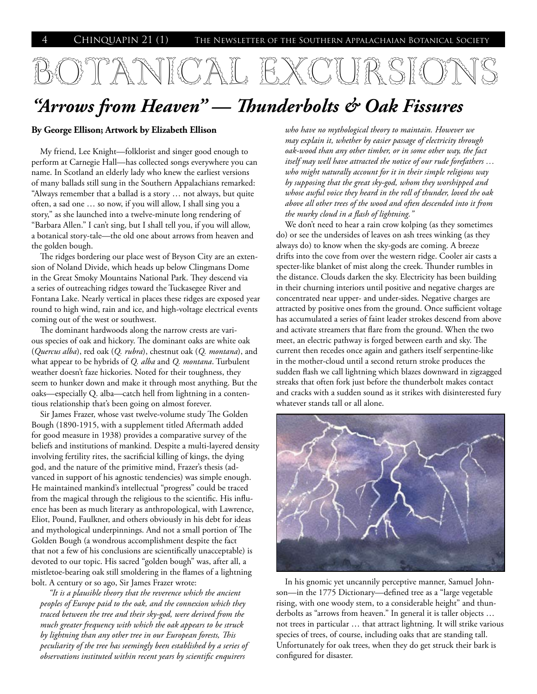## BOTANICAL EXCURSIC

### *"Arrows from Heaven" — Thunderbolts & Oak Fissures*

### **By George Ellison; Artwork by Elizabeth Ellison**

My friend, Lee Knight—folklorist and singer good enough to perform at Carnegie Hall—has collected songs everywhere you can name. In Scotland an elderly lady who knew the earliest versions of many ballads still sung in the Southern Appalachians remarked: "Always remember that a ballad is a story … not always, but quite often, a sad one … so now, if you will allow, I shall sing you a story," as she launched into a twelve-minute long rendering of "Barbara Allen." I can't sing, but I shall tell you, if you will allow, a botanical story-tale—the old one about arrows from heaven and the golden bough.

The ridges bordering our place west of Bryson City are an extension of Noland Divide, which heads up below Clingmans Dome in the Great Smoky Mountains National Park. They descend via a series of outreaching ridges toward the Tuckasegee River and Fontana Lake. Nearly vertical in places these ridges are exposed year round to high wind, rain and ice, and high-voltage electrical events coming out of the west or southwest.

The dominant hardwoods along the narrow crests are various species of oak and hickory. The dominant oaks are white oak (*Quercus alba*), red oak (*Q. rubra*), chestnut oak (*Q. montana*), and what appear to be hybrids of *Q. alba* and *Q. montana*. Turbulent weather doesn't faze hickories. Noted for their toughness, they seem to hunker down and make it through most anything. But the oaks—especially Q. alba—catch hell from lightning in a contentious relationship that's been going on almost forever.

Sir James Frazer, whose vast twelve-volume study The Golden Bough (1890-1915, with a supplement titled Aftermath added for good measure in 1938) provides a comparative survey of the beliefs and institutions of mankind. Despite a multi-layered density involving fertility rites, the sacrificial killing of kings, the dying god, and the nature of the primitive mind, Frazer's thesis (advanced in support of his agnostic tendencies) was simple enough. He maintained mankind's intellectual "progress" could be traced from the magical through the religious to the scientific. His influence has been as much literary as anthropological, with Lawrence, Eliot, Pound, Faulkner, and others obviously in his debt for ideas and mythological underpinnings. And not a small portion of The Golden Bough (a wondrous accomplishment despite the fact that not a few of his conclusions are scientifically unacceptable) is devoted to our topic. His sacred "golden bough" was, after all, a mistletoe-bearing oak still smoldering in the flames of a lightning bolt. A century or so ago, Sir James Frazer wrote:

*"It is a plausible theory that the reverence which the ancient peoples of Europe paid to the oak, and the connexion which they traced between the tree and their sky-god, were derived from the much greater frequency with which the oak appears to be struck by lightning than any other tree in our European forests, This peculiarity of the tree has seemingly been established by a series of observations instituted within recent years by scientific enquirers* 

*who have no mythological theory to maintain. However we may explain it, whether by easier passage of electricity through oak-wood than any other timber, or in some other way, the fact itself may well have attracted the notice of our rude forefathers … who might naturally account for it in their simple religious way by supposing that the great sky-god, whom they worshipped and whose awful voice they heard in the roll of thunder, loved the oak above all other trees of the wood and often descended into it from the murky cloud in a flash of lightning."* 

We don't need to hear a rain crow kolping (as they sometimes do) or see the undersides of leaves on ash trees winking (as they always do) to know when the sky-gods are coming. A breeze drifts into the cove from over the western ridge. Cooler air casts a specter-like blanket of mist along the creek. Thunder rumbles in the distance. Clouds darken the sky. Electricity has been building in their churning interiors until positive and negative charges are concentrated near upper- and under-sides. Negative charges are attracted by positive ones from the ground. Once sufficient voltage has accumulated a series of faint leader strokes descend from above and activate streamers that flare from the ground. When the two meet, an electric pathway is forged between earth and sky. The current then recedes once again and gathers itself serpentine-like in the mother-cloud until a second return stroke produces the sudden flash we call lightning which blazes downward in zigzagged streaks that often fork just before the thunderbolt makes contact and cracks with a sudden sound as it strikes with disinterested fury whatever stands tall or all alone.



In his gnomic yet uncannily perceptive manner, Samuel Johnson—in the 1775 Dictionary—defined tree as a "large vegetable rising, with one woody stem, to a considerable height" and thunderbolts as "arrows from heaven." In general it is taller objects … not trees in particular … that attract lightning. It will strike various species of trees, of course, including oaks that are standing tall. Unfortunately for oak trees, when they do get struck their bark is configured for disaster.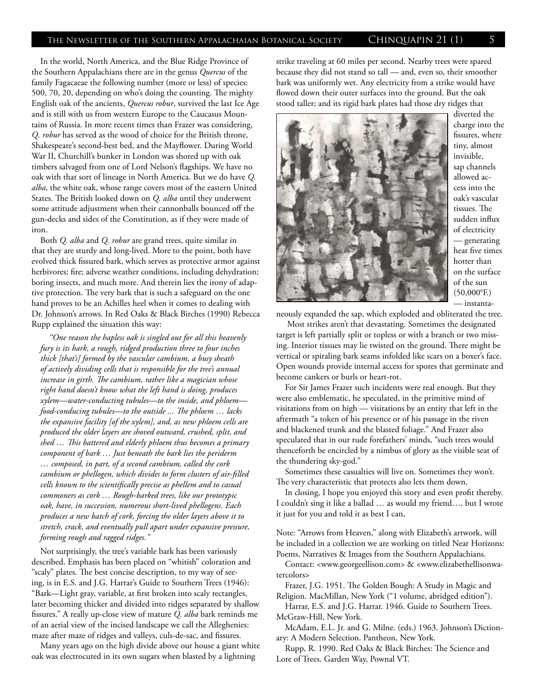### The Newsletter of the Southern Appalachaian Botanical Society  $\quad$  Chinquapin 21 (1)  $\quad$  5

In the world, North America, and the Blue Ridge Province of the Southern Appalachians there are in the genus *Quercus* of the family Fagacaeae the following number (more or less) of species: 500, 70, 20, depending on who's doing the counting. The mighty English oak of the ancients, *Quercus robur*, survived the last Ice Age and is still with us from western Europe to the Caucasus Mountains of Russia. In more recent times than Frazer was considering, *Q. robur* has served as the wood of choice for the British throne, Shakespeare's second-best bed, and the Mayflower. During World War II, Churchill's bunker in London was shored up with oak timbers salvaged from one of Lord Nelson's flagships. We have no oak with that sort of lineage in North America. But we do have *Q. alba*, the white oak, whose range covers most of the eastern United States. The British looked down on *Q. alba* until they underwent some attitude adjustment when their cannonballs bounced off the gun-decks and sides of the Constitution, as if they were made of iron.

Both *Q. alba* and *Q. robur* are grand trees, quite similar in that they are sturdy and long-lived. More to the point, both have evolved thick fissured bark, which serves as protective armor against herbivores; fire; adverse weather conditions, including dehydration; boring insects, and much more. And therein lies the irony of adaptive protection. The very bark that is such a safeguard on the one hand proves to be an Achilles heel when it comes to dealing with Dr. Johnson's arrows. In Red Oaks & Black Birches (1990) Rebecca Rupp explained the situation this way:

*"One reason the hapless oak is singled out for all this heavenly fury is its bark, a rough, ridged production three to four inches thick [that's] formed by the vascular cambium, a busy sheath of actively dividing cells that is responsible for the tree's annual increase in girth. The cambium, rather like a magician whose right hand doesn't know what the left hand is doing, produces xylem—water-conducting tubules—to the inside, and phloem food-conducing tubules—to the outside ... The phloem … lacks the expansive facility [of the xylem], and, as new phloem cells are produced the older layers are shoved outward, crushed, split, and shed … This battered and elderly phloem thus becomes a primary component of bark … Just beneath the bark lies the periderm … composed, in part, of a second cambium, called the cork cambium or phellogen, which divides to form clusters of air-filled cells known to the scientifically precise as phellem and to casual commoners as cork … Rough-barked trees, like our prototypic oak, have, in succession, numerous short-lived phellogens. Each produces a new batch of cork, forcing the older layers above it to stretch, crack, and eventually pull apart under expansive pressure, forming rough and ragged ridges."*

Not surprisingly, the tree's variable bark has been variously described. Emphasis has been placed on "whitish" coloration and "scaly" plates. The best concise description, to my way of seeing, is in E.S. and J.G. Harrar's Guide to Southern Trees (1946): "Bark—Light gray, variable, at first broken into scaly rectangles, later becoming thicker and divided into ridges separated by shallow fissures." A really up-close view of mature *Q. alba* bark reminds me of an aerial view of the incised landscape we call the Alleghenies: maze after maze of ridges and valleys, culs-de-sac, and fissures.

Many years ago on the high divide above our house a giant white oak was electrocuted in its own sugars when blasted by a lightning

strike traveling at 60 miles per second. Nearby trees were spared because they did not stand so tall — and, even so, their smoother bark was uniformly wet. Any electricity from a strike would have flowed down their outer surfaces into the ground. But the oak stood taller; and its rigid bark plates had those dry ridges that



diverted the charge into the fissures, where tiny, almost invisible, sap channels allowed access into the oak's vascular tissues. The sudden influx of electricity — generating heat five times hotter than on the surface of the sun (50,000°F.) — instanta-

neously expanded the sap, which exploded and obliterated the tree.

 Most strikes aren't that devastating. Sometimes the designated target is left partially split or topless or with a branch or two missing. Interior tissues may lie twisted on the ground. There might be vertical or spiraling bark seams infolded like scars on a boxer's face. Open wounds provide internal access for spores that germinate and become cankers or burls or heart-rot.

For Sir James Frazer such incidents were real enough. But they were also emblematic, he speculated, in the primitive mind of visitations from on high — visitations by an entity that left in the aftermath "a token of his presence or of his passage in the riven and blackened trunk and the blasted foliage." And Frazer also speculated that in our rude forefathers' minds, "such trees would thenceforth be encircled by a nimbus of glory as the visible seat of the thundering sky-god."

Sometimes these casualties will live on. Sometimes they won't. The very characteristic that protects also lets them down.

In closing, I hope you enjoyed this story and even profit thereby. I couldn't sing it like a ballad … as would my friend…. but I wrote it just for you and told it as best I can,

Note: "Arrows from Heaven," along with Elizabeth's artwork, will be included in a collection we are working on titled Near Horizons: Poems, Narratives & Images from the Southern Appalachians.

Contact: <www.georgeellison.com> & <www.elizabethellisonwatercolors>

Frazer, J.G. 1951. The Golden Bough: A Study in Magic and Religion. MacMillan, New York ("1 volume, abridged edition").

Harrar, E.S. and J.G. Harrar. 1946. Guide to Southern Trees. McGraw-Hill, New York.

McAdam, E.L. Jr. and G. Milne. (eds.) 1963. Johnson's Dictionary: A Modern Selection. Pantheon, New York.

Rupp, R. 1990. Red Oaks & Black Birches: The Science and Lore of Trees. Garden Way, Pownal VT.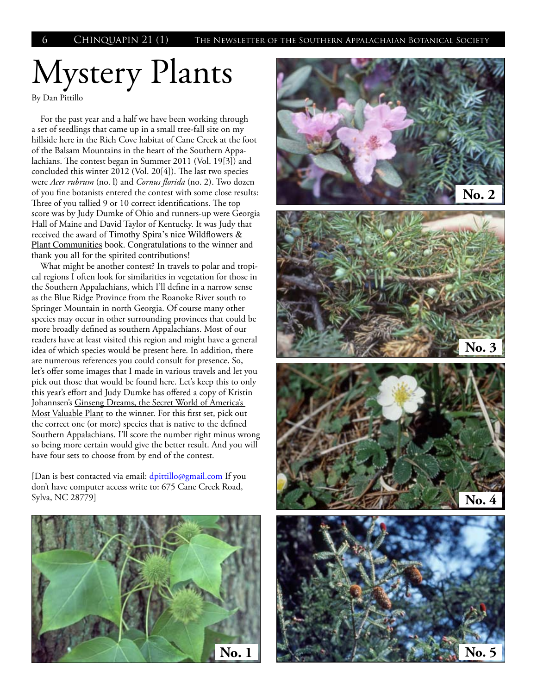# Mystery Plants

By Dan Pittillo

For the past year and a half we have been working through a set of seedlings that came up in a small tree-fall site on my hillside here in the Rich Cove habitat of Cane Creek at the foot of the Balsam Mountains in the heart of the Southern Appalachians. The contest began in Summer 2011 (Vol. 19[3]) and concluded this winter 2012 (Vol. 20[4]). The last two species were *Acer rubrum* (no. l) and *Cornus florida* (no. 2). Two dozen of you fine botanists entered the contest with some close results: Three of you tallied 9 or 10 correct identifications. The top score was by Judy Dumke of Ohio and runners-up were Georgia Hall of Maine and David Taylor of Kentucky. It was Judy that received the award of Timothy Spira's nice Wildflowers & Plant Communities book. Congratulations to the winner and thank you all for the spirited contributions!

What might be another contest? In travels to polar and tropical regions I often look for similarities in vegetation for those in the Southern Appalachians, which I'll define in a narrow sense as the Blue Ridge Province from the Roanoke River south to Springer Mountain in north Georgia. Of course many other species may occur in other surrounding provinces that could be more broadly defined as southern Appalachians. Most of our readers have at least visited this region and might have a general idea of which species would be present here. In addition, there are numerous references you could consult for presence. So, let's offer some images that I made in various travels and let you pick out those that would be found here. Let's keep this to only this year's effort and Judy Dumke has offered a copy of Kristin Johannsen's Ginseng Dreams, the Secret World of America's Most Valuable Plant to the winner. For this first set, pick out the correct one (or more) species that is native to the defined Southern Appalachians. I'll score the number right minus wrong so being more certain would give the better result. And you will have four sets to choose from by end of the contest.

[Dan is best contacted via email: dpittillo@gmail.com If you don't have computer access write to: 675 Cane Creek Road, Sylva, NC 28779]



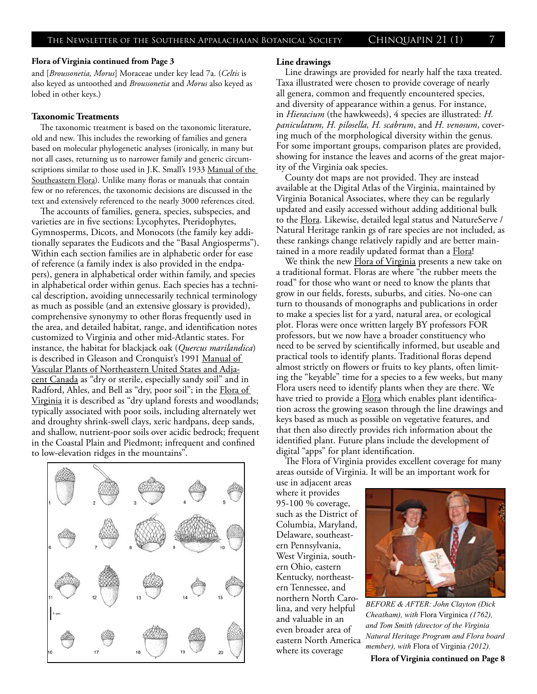### **Flora of Virginia continued from Page 3**

and [*Broussonetia, Morus*] Moraceae under key lead 7a. (*Celtis* is also keyed as untoothed and *Broussonetia* and *Morus* also keyed as lobed in other keys.)

### **Taxonomic Treatments**

The taxonomic treatment is based on the taxonomic literature, old and new. This includes the reworking of families and genera based on molecular phylogenetic analyses (ironically, in many but not all cases, returning us to narrower family and generic circumscriptions similar to those used in J.K. Small's 1933 Manual of the Southeastern Flora). Unlike many floras or manuals that contain few or no references, the taxonomic decisions are discussed in the text and extensively referenced to the nearly 3000 references cited.

The accounts of families, genera, species, subspecies, and varieties are in five sections: Lycophytes, Pteridophytes, Gymnosperms, Dicots, and Monocots (the family key additionally separates the Eudicots and the "Basal Angiosperms"). Within each section families are in alphabetic order for ease of reference (a family index is also provided in the endpapers), genera in alphabetical order within family, and species in alphabetical order within genus. Each species has a technical description, avoiding unnecessarily technical terminology as much as possible (and an extensive glossary is provided), comprehensive synonymy to other floras frequently used in the area, and detailed habitat, range, and identification notes customized to Virginia and other mid-Atlantic states. For instance, the habitat for blackjack oak (*Quercus marilandica*) is described in Gleason and Cronquist's 1991 Manual of Vascular Plants of Northeastern United States and Adjacent Canada as "dry or sterile, especially sandy soil" and in Radford, Ahles, and Bell as "dry, poor soil"; in the Flora of Virginia it is described as "dry upland forests and woodlands; typically associated with poor soils, including alternately wet and droughty shrink-swell clays, xeric hardpans, deep sands, and shallow, nutrient-poor soils over acidic bedrock; frequent in the Coastal Plain and Piedmont; infrequent and confined to low-elevation ridges in the mountains".



#### **Line drawings**

Line drawings are provided for nearly half the taxa treated. Taxa illustrated were chosen to provide coverage of nearly all genera, common and frequently encountered species, and diversity of appearance within a genus. For instance, in *Hieracium* (the hawkweeds), 4 species are illustrated: *H. paniculatum, H. pilosella, H. scabrum*, and *H. venosum*, covering much of the morphological diversity within the genus. For some important groups, comparison plates are provided, showing for instance the leaves and acorns of the great majority of the Virginia oak species.

County dot maps are not provided. They are instead available at the Digital Atlas of the Virginia, maintained by Virginia Botanical Associates, where they can be regularly updated and easily accessed without adding additional bulk to the Flora. Likewise, detailed legal status and NatureServe / Natural Heritage rankin gs of rare species are not included, as these rankings change relatively rapidly and are better maintained in a more readily updated format than a Flora!

We think the new **Flora of Virginia** presents a new take on a traditional format. Floras are where "the rubber meets the road" for those who want or need to know the plants that grow in our fields, forests, suburbs, and cities. No-one can turn to thousands of monographs and publications in order to make a species list for a yard, natural area, or ecological plot. Floras were once written largely BY professors FOR professors, but we now have a broader constituency who need to be served by scientifically informed, but useable and practical tools to identify plants. Traditional floras depend almost strictly on flowers or fruits to key plants, often limiting the "keyable" time for a species to a few weeks, but many Flora users need to identify plants when they are there. We have tried to provide a **Flora** which enables plant identification across the growing season through the line drawings and keys based as much as possible on vegetative features, and that then also directly provides rich information about the identified plant. Future plans include the development of digital "apps" for plant identification.

The Flora of Virginia provides excellent coverage for many areas outside of Virginia. It will be an important work for

use in adjacent areas where it provides 95-100 % coverage, such as the District of Columbia, Maryland, Delaware, southeastern Pennsylvania, West Virginia, southern Ohio, eastern Kentucky, northeastern Tennessee, and northern North Carolina, and very helpful and valuable in an even broader area of eastern North America



*BEFORE & AFTER: John Clayton (Dick Cheatham), with* Flora Virginica *(1762), and Tom Smith (director of the Virginia Natural Heritage Program and Flora board member), with* Flora of Virginia *(2012).*

where its coverage *IREMDET, WILL* FIOLA OF VIIGHTA (2012).